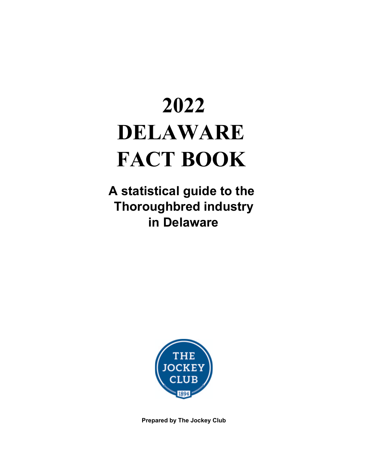# **2022 DELAWARE FACT BOOK**

**A statistical guide to the Thoroughbred industry in Delaware**



**Prepared by The Jockey Club**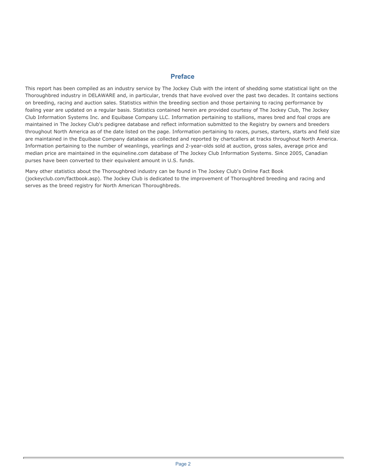#### **Preface**

This report has been compiled as an industry service by The Jockey Club with the intent of shedding some statistical light on the Thoroughbred industry in DELAWARE and, in particular, trends that have evolved over the past two decades. It contains sections on breeding, racing and auction sales. Statistics within the breeding section and those pertaining to racing performance by foaling year are updated on a regular basis. Statistics contained herein are provided courtesy of The Jockey Club, The Jockey Club Information Systems Inc. and Equibase Company LLC. Information pertaining to stallions, mares bred and foal crops are maintained in The Jockey Club's pedigree database and reflect information submitted to the Registry by owners and breeders throughout North America as of the date listed on the page. Information pertaining to races, purses, starters, starts and field size are maintained in the Equibase Company database as collected and reported by chartcallers at tracks throughout North America. Information pertaining to the number of weanlings, yearlings and 2-year-olds sold at auction, gross sales, average price and median price are maintained in the equineline.com database of The Jockey Club Information Systems. Since 2005, Canadian purses have been converted to their equivalent amount in U.S. funds.

Many other statistics about the Thoroughbred industry can be found in The Jockey Club's Online Fact Book (jockeyclub.com/factbook.asp). The Jockey Club is dedicated to the improvement of Thoroughbred breeding and racing and serves as the breed registry for North American Thoroughbreds.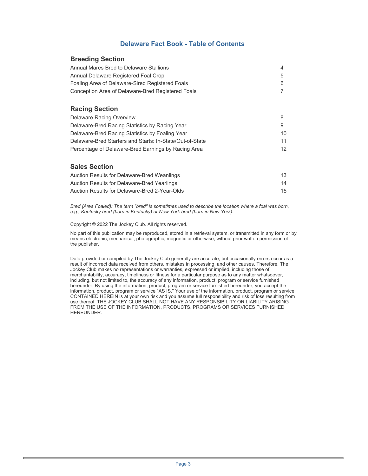#### **Delaware Fact Book - Table of Contents**

#### **Breeding Section**

| Annual Mares Bred to Delaware Stallions           |  |
|---------------------------------------------------|--|
| Annual Delaware Registered Foal Crop              |  |
| Foaling Area of Delaware-Sired Registered Foals   |  |
| Conception Area of Delaware-Bred Registered Foals |  |

#### **Racing Section**

| Delaware Racing Overview                                 |                 |
|----------------------------------------------------------|-----------------|
| Delaware-Bred Racing Statistics by Racing Year           | 9               |
| Delaware-Bred Racing Statistics by Foaling Year          | 10.             |
| Delaware-Bred Starters and Starts: In-State/Out-of-State | 11              |
| Percentage of Delaware-Bred Earnings by Racing Area      | 12 <sup>°</sup> |

#### **Sales Section**

| Auction Results for Delaware-Bred Weanlings   | 13 |
|-----------------------------------------------|----|
| Auction Results for Delaware-Bred Yearlings   | 14 |
| Auction Results for Delaware-Bred 2-Year-Olds | 15 |

*Bred (Area Foaled): The term "bred" is sometimes used to describe the location where a foal was born, e.g., Kentucky bred (born in Kentucky) or New York bred (born in New York).* 

Copyright © 2022 The Jockey Club. All rights reserved.

No part of this publication may be reproduced, stored in a retrieval system, or transmitted in any form or by means electronic, mechanical, photographic, magnetic or otherwise, without prior written permission of the publisher.

Data provided or compiled by The Jockey Club generally are accurate, but occasionally errors occur as a result of incorrect data received from others, mistakes in processing, and other causes. Therefore, The Jockey Club makes no representations or warranties, expressed or implied, including those of merchantability, accuracy, timeliness or fitness for a particular purpose as to any matter whatsoever, including, but not limited to, the accuracy of any information, product, program or service furnished hereunder. By using the information, product, program or service furnished hereunder, you accept the information, product, program or service "AS IS." Your use of the information, product, program or service CONTAINED HEREIN is at your own risk and you assume full responsibility and risk of loss resulting from use thereof. THE JOCKEY CLUB SHALL NOT HAVE ANY RESPONSIBILITY OR LIABILITY ARISING FROM THE USE OF THE INFORMATION, PRODUCTS, PROGRAMS OR SERVICES FURNISHED HEREUNDER.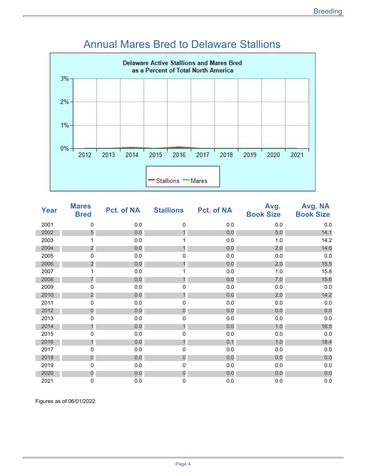

#### Annual Mares Bred to Delaware Stallions

| <b>Year</b> | <b>Mares</b><br><b>Bred</b> | Pct. of NA | <b>Stallions</b> | <b>Pct. of NA</b> | Avg.<br><b>Book Size</b> | Avg. NA<br><b>Book Size</b> |
|-------------|-----------------------------|------------|------------------|-------------------|--------------------------|-----------------------------|
| 2001        | 0                           | 0.0        | 0                | 0.0               | 0.0                      | $0.0\,$                     |
| 2002        | 5                           | 0.0        |                  | 0.0               | 5.0                      | 14.1                        |
| 2003        |                             | 0.0        |                  | 0.0               | 1.0                      | 14.2                        |
| 2004        | $\overline{\mathbf{c}}$     | 0.0        |                  | 0.0               | 2.0                      | 14.6                        |
| 2005        | 0                           | 0.0        | 0                | 0.0               | 0.0                      | 0.0                         |
| 2006        | $\overline{\mathbf{c}}$     | 0.0        |                  | 0.0               | 2.0                      | 15.5                        |
| 2007        |                             | 0.0        |                  | 0.0               | 1.0                      | 15.8                        |
| 2008        | 7                           | 0.0        |                  | 0.0               | 7.0                      | 15.6                        |
| 2009        | 0                           | 0.0        | 0                | 0.0               | 0.0                      | $0.0\,$                     |
| 2010        | $\overline{c}$              | 0.0        | 1                | 0.0               | 2.0                      | 14.2                        |
| 2011        | 0                           | 0.0        | 0                | 0.0               | 0.0                      | $0.0\,$                     |
| 2012        | $\mathbf 0$                 | 0.0        | $\mathbf 0$      | 0.0               | 0.0                      | 0.0                         |
| 2013        | 0                           | 0.0        | 0                | 0.0               | 0.0                      | $0.0\,$                     |
| 2014        | 1                           | 0.0        |                  | 0.0               | 1.0                      | 16.5                        |
| 2015        | 0                           | 0.0        | 0                | 0.0               | 0.0                      | 0.0                         |
| 2016        | 1                           | 0.0        |                  | 0.1               | 1.0                      | 18.4                        |
| 2017        | 0                           | 0.0        | 0                | 0.0               | 0.0                      | $0.0\,$                     |
| 2018        | $\mathbf 0$                 | 0.0        | 0                | 0.0               | 0.0                      | 0.0                         |
| 2019        | 0                           | 0.0        | 0                | 0.0               | 0.0                      | $0.0\,$                     |
| 2020        | $\theta$                    | 0.0        | $\overline{0}$   | 0.0               | 0.0                      | 0.0                         |
| 2021        | 0                           | 0.0        | 0                | 0.0               | 0.0                      | 0.0                         |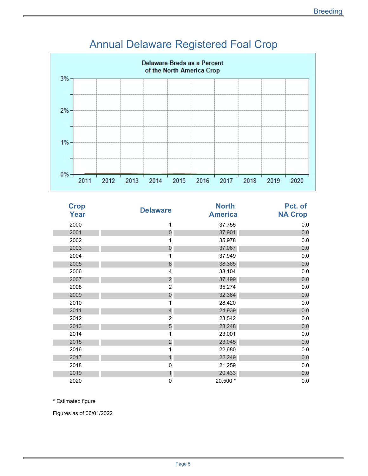

# Annual Delaware Registered Foal Crop

| <b>Crop</b><br>Year | <b>Delaware</b>         | <b>North</b><br><b>America</b> | Pct. of<br><b>NA Crop</b> |
|---------------------|-------------------------|--------------------------------|---------------------------|
| 2000                | 1                       | 37,755                         | 0.0                       |
| 2001                | $\mathbf 0$             | 37,901                         | 0.0                       |
| 2002                | 1                       | 35,978                         | 0.0                       |
| 2003                | $\overline{0}$          | 37,067                         | 0.0                       |
| 2004                | 1                       | 37,949                         | 0.0                       |
| 2005                | 6                       | 38,365                         | 0.0                       |
| 2006                | 4                       | 38,104                         | 0.0                       |
| 2007                | $\overline{\mathbf{c}}$ | 37,499                         | 0.0                       |
| 2008                | $\overline{c}$          | 35,274                         | 0.0                       |
| 2009                | $\overline{0}$          | 32,364                         | 0.0                       |
| 2010                | 1                       | 28,420                         | 0.0                       |
| 2011                | $\overline{4}$          | 24,939                         | 0.0                       |
| 2012                | $\overline{2}$          | 23,542                         | 0.0                       |
| 2013                | 5                       | 23,248                         | 0.0                       |
| 2014                | 1                       | 23,001                         | 0.0                       |
| 2015                | $\overline{c}$          | 23,045                         | 0.0                       |
| 2016                | 1                       | 22,680                         | 0.0                       |
| 2017                | $\mathbf{1}$            | 22,249                         | 0.0                       |
| 2018                | 0                       | 21,259                         | 0.0                       |
| 2019                | $\mathbf{1}$            | 20,433                         | 0.0                       |
| 2020                | 0                       | 20,500 *                       | 0.0                       |

\* Estimated figure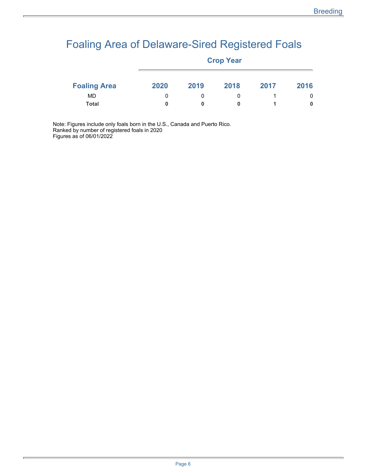# Foaling Area of Delaware-Sired Registered Foals

|                     | <b>Crop Year</b> |        |      |      |      |  |
|---------------------|------------------|--------|------|------|------|--|
| <b>Foaling Area</b> | 2020             | 2019   | 2018 | 2017 | 2016 |  |
| MD<br><b>Total</b>  | 0                | 0<br>0 | 0    |      | 0    |  |
|                     |                  |        |      |      |      |  |

Note: Figures include only foals born in the U.S., Canada and Puerto Rico. Ranked by number of registered foals in 2020 Figures as of 06/01/2022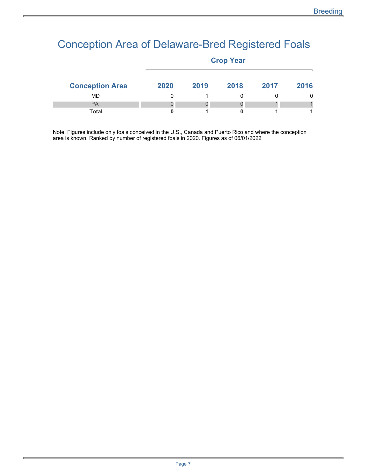### Conception Area of Delaware-Bred Registered Foals

|                        | <b>Crop Year</b> |      |      |      |      |  |
|------------------------|------------------|------|------|------|------|--|
| <b>Conception Area</b> | 2020             | 2019 | 2018 | 2017 | 2016 |  |
| MD.                    |                  |      |      |      | 0    |  |
| <b>PA</b>              |                  |      |      |      |      |  |
| <b>Total</b>           |                  |      |      |      |      |  |

Note: Figures include only foals conceived in the U.S., Canada and Puerto Rico and where the conception area is known. Ranked by number of registered foals in 2020. Figures as of 06/01/2022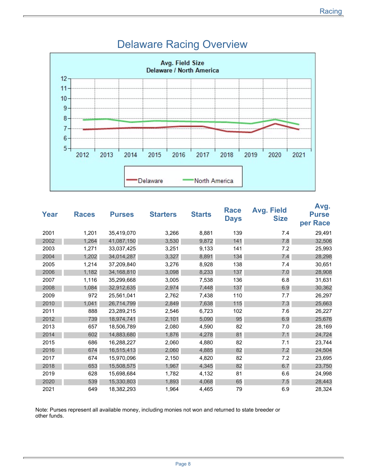

#### Delaware Racing Overview

| Year | <b>Races</b> | <b>Purses</b> | <b>Starters</b> | <b>Starts</b> | <b>Race</b><br><b>Days</b> | <b>Avg. Field</b><br><b>Size</b> | Avg.<br><b>Purse</b><br>per Race |
|------|--------------|---------------|-----------------|---------------|----------------------------|----------------------------------|----------------------------------|
| 2001 | 1,201        | 35,419,070    | 3,266           | 8,881         | 139                        | 7.4                              | 29,491                           |
| 2002 | 1,264        | 41,087,150    | 3,530           | 9,872         | 141                        | 7.8                              | 32,506                           |
| 2003 | 1,271        | 33,037,425    | 3,251           | 9,133         | 141                        | 7.2                              | 25,993                           |
| 2004 | 1,202        | 34,014,287    | 3,327           | 8,891         | 134                        | 7.4                              | 28,298                           |
| 2005 | 1,214        | 37,209,840    | 3,276           | 8,928         | 138                        | 7.4                              | 30,651                           |
| 2006 | 1,182        | 34,168,810    | 3,098           | 8,233         | 137                        | 7.0                              | 28,908                           |
| 2007 | 1,116        | 35,299,668    | 3,005           | 7,538         | 136                        | 6.8                              | 31,631                           |
| 2008 | 1,084        | 32,912,635    | 2,974           | 7,448         | 137                        | 6.9                              | 30,362                           |
| 2009 | 972          | 25,561,041    | 2,762           | 7,438         | 110                        | 7.7                              | 26,297                           |
| 2010 | 1,041        | 26,714,799    | 2,849           | 7,638         | 115                        | 7.3                              | 25,663                           |
| 2011 | 888          | 23,289,215    | 2,546           | 6,723         | 102                        | 7.6                              | 26,227                           |
| 2012 | 739          | 18,974,741    | 2,101           | 5,090         | 95                         | 6.9                              | 25,676                           |
| 2013 | 657          | 18,506,789    | 2,080           | 4,590         | 82                         | 7.0                              | 28,169                           |
| 2014 | 602          | 14,883,680    | 1,876           | 4,278         | 81                         | 7.1                              | 24,724                           |
| 2015 | 686          | 16,288,227    | 2,060           | 4,880         | 82                         | 7.1                              | 23,744                           |
| 2016 | 674          | 16,515,413    | 2,060           | 4,885         | 82                         | 7.2                              | 24,504                           |
| 2017 | 674          | 15,970,096    | 2,150           | 4,820         | 82                         | 7.2                              | 23,695                           |
| 2018 | 653          | 15,508,575    | 1,967           | 4,345         | 82                         | 6.7                              | 23,750                           |
| 2019 | 628          | 15,698,684    | 1,782           | 4,132         | 81                         | 6.6                              | 24,998                           |
| 2020 | 539          | 15,330,803    | 1,893           | 4,068         | 65                         | 7.5                              | 28,443                           |
| 2021 | 649          | 18,382,293    | 1,964           | 4,465         | 79                         | 6.9                              | 28,324                           |

Note: Purses represent all available money, including monies not won and returned to state breeder or other funds.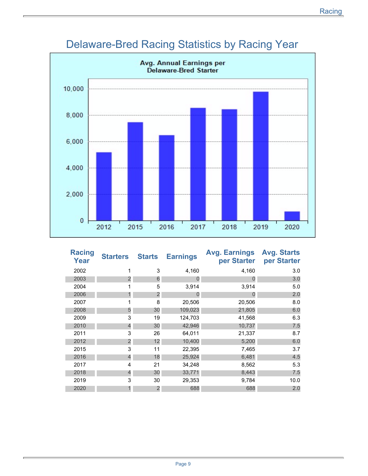

# Delaware-Bred Racing Statistics by Racing Year

| <b>Racing</b><br>Year | <b>Starters</b> | <b>Starts</b>  | <b>Earnings</b> | <b>Avg. Earnings</b><br>per Starter | <b>Avg. Starts</b><br>per Starter |
|-----------------------|-----------------|----------------|-----------------|-------------------------------------|-----------------------------------|
| 2002                  | 1               | 3              | 4,160           | 4,160                               | 3.0                               |
| 2003                  | $\overline{2}$  | 6              | 0               | 0                                   | 3.0                               |
| 2004                  | 1               | 5              | 3,914           | 3,914                               | 5.0                               |
| 2006                  | 1               | $\overline{2}$ | 0               | $\Omega$                            | 2.0                               |
| 2007                  | 1               | 8              | 20,506          | 20,506                              | 8.0                               |
| 2008                  | 5               | 30             | 109,023         | 21,805                              | 6.0                               |
| 2009                  | 3               | 19             | 124,703         | 41,568                              | 6.3                               |
| 2010                  | $\overline{4}$  | 30             | 42,946          | 10,737                              | 7.5                               |
| 2011                  | 3               | 26             | 64,011          | 21,337                              | 8.7                               |
| 2012                  | $\overline{2}$  | 12             | 10,400          | 5,200                               | 6.0                               |
| 2015                  | 3               | 11             | 22,395          | 7,465                               | 3.7                               |
| 2016                  | $\overline{4}$  | 18             | 25,924          | 6,481                               | 4.5                               |
| 2017                  | 4               | 21             | 34,248          | 8,562                               | 5.3                               |
| 2018                  | $\overline{4}$  | 30             | 33,771          | 8,443                               | 7.5                               |
| 2019                  | 3               | 30             | 29,353          | 9,784                               | 10.0                              |
| 2020                  | 1               | $\overline{c}$ | 688             | 688                                 | 2.0                               |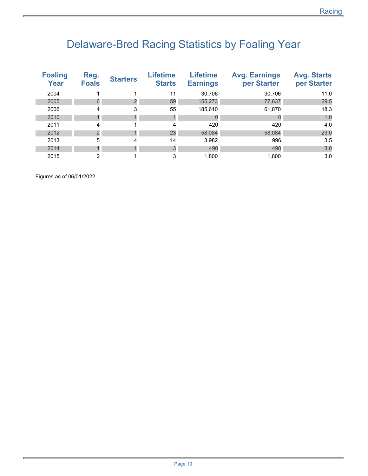# Delaware-Bred Racing Statistics by Foaling Year

| <b>Foaling</b><br>Year | Reg.<br><b>Foals</b> | <b>Starters</b> | <b>Lifetime</b><br><b>Starts</b> | <b>Lifetime</b><br><b>Earnings</b> | <b>Avg. Earnings</b><br>per Starter | <b>Avg. Starts</b><br>per Starter |
|------------------------|----------------------|-----------------|----------------------------------|------------------------------------|-------------------------------------|-----------------------------------|
| 2004                   |                      |                 | 11                               | 30,706                             | 30,706                              | 11.0                              |
| 2005                   | 6                    |                 | 59                               | 155,273                            | 77,637                              | 29.5                              |
| 2006                   | 4                    | 3               | 55                               | 185,610                            | 61,870                              | 18.3                              |
| 2010                   |                      |                 |                                  |                                    |                                     | 1.0                               |
| 2011                   | 4                    |                 | 4                                | 420                                | 420                                 | 4.0                               |
| 2012                   | $\overline{2}$       |                 | 23                               | 58,084                             | 58,084                              | 23.0                              |
| 2013                   | 5                    | 4               | 14                               | 3,982                              | 996                                 | 3.5                               |
| 2014                   |                      |                 | 3                                | 490                                | 490                                 | 3.0                               |
| 2015                   | 2                    |                 | 3                                | 1.800                              | 1.800                               | 3.0                               |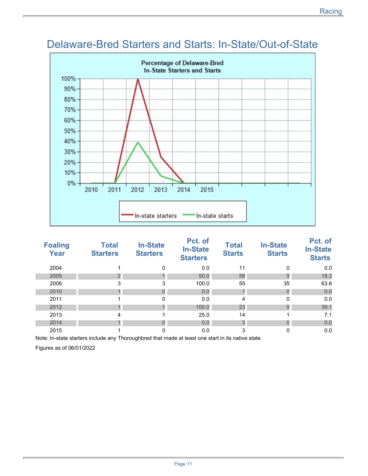

### Delaware-Bred Starters and Starts: In-State/Out-of-State

| <b>Foaling</b><br><b>Year</b> | <b>Total</b><br><b>Starters</b> | <b>In-State</b><br><b>Starters</b> | Pct. of<br><b>In-State</b><br><b>Starters</b> | <b>Total</b><br><b>Starts</b> | <b>In-State</b><br><b>Starts</b> | Pct. of<br><b>In-State</b><br><b>Starts</b> |
|-------------------------------|---------------------------------|------------------------------------|-----------------------------------------------|-------------------------------|----------------------------------|---------------------------------------------|
| 2004                          |                                 | 0                                  | 0.0                                           | 11                            | 0                                | 0.0                                         |
| 2005                          | $\overline{2}$                  |                                    | 50.0                                          | 59                            | 9                                | 15.3                                        |
| 2006                          | 3                               | 3                                  | 100.0                                         | 55                            | 35                               | 63.6                                        |
| 2010                          |                                 | $\Omega$                           | 0.0                                           |                               |                                  | 0.0                                         |
| 2011                          |                                 | 0                                  | 0.0                                           | 4                             | 0                                | 0.0                                         |
| 2012                          |                                 |                                    | 100.0                                         | 23                            | 9                                | 39.1                                        |
| 2013                          | 4                               |                                    | 25.0                                          | 14                            |                                  | 7.1                                         |
| 2014                          |                                 | $\Omega$                           | 0.0                                           | 3                             |                                  | 0.0                                         |
| 2015                          |                                 | 0                                  | 0.0                                           | 3                             | 0                                | 0.0                                         |

Note: In-state starters include any Thoroughbred that made at least one start in its native state.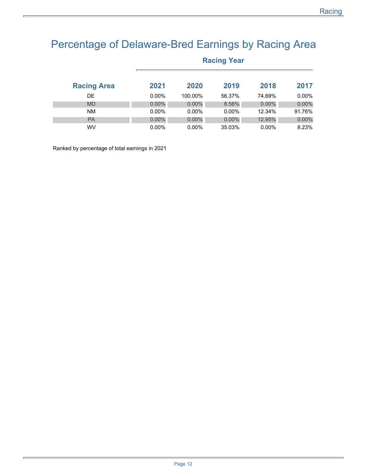## Percentage of Delaware-Bred Earnings by Racing Area

**Racing Year** 

| <b>Racing Area</b> | 2021     | 2020     | 2019     | 2018     | 2017     |  |  |  |
|--------------------|----------|----------|----------|----------|----------|--|--|--|
| DE.                | $0.00\%$ | 100.00%  | 56.37%   | 74.69%   | $0.00\%$ |  |  |  |
| <b>MD</b>          | $0.00\%$ | $0.00\%$ | 8.58%    | $0.00\%$ | $0.00\%$ |  |  |  |
| <b>NM</b>          | $0.00\%$ | $0.00\%$ | $0.00\%$ | 12.34%   | 91.76%   |  |  |  |
| <b>PA</b>          | $0.00\%$ | $0.00\%$ | $0.00\%$ | 12.95%   | $0.00\%$ |  |  |  |
| <b>WV</b>          | $0.00\%$ | $0.00\%$ | 35.03%   | $0.00\%$ | 8.23%    |  |  |  |

Ranked by percentage of total earnings in 2021

Page 12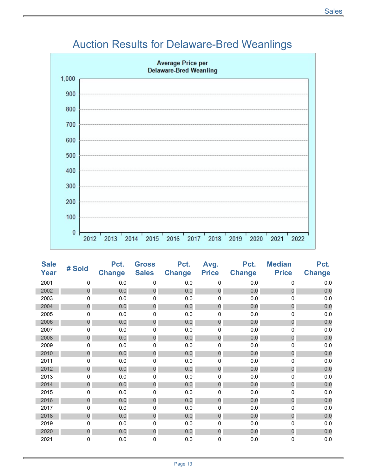### Auction Results for Delaware-Bred Weanlings



| <b>Sale</b><br><b>Year</b> | # Sold           | Pct.<br><b>Change</b> | <b>Gross</b><br><b>Sales</b> | Pct.<br><b>Change</b> | Avg.<br><b>Price</b> | Pct.<br><b>Change</b> | <b>Median</b><br><b>Price</b> | Pct.<br><b>Change</b> |
|----------------------------|------------------|-----------------------|------------------------------|-----------------------|----------------------|-----------------------|-------------------------------|-----------------------|
| 2001                       | 0                | 0.0                   | $\mathbf 0$                  | 0.0                   | $\mathbf 0$          | 0.0                   | $\mathbf{0}$                  | $0.0\,$               |
| 2002                       | 0                | 0.0                   | $\theta$                     | 0.0                   | $\overline{0}$       | 0.0                   | $\overline{0}$                | 0.0                   |
| 2003                       | 0                | 0.0                   | 0                            | 0.0                   | 0                    | 0.0                   | 0                             | 0.0                   |
| 2004                       | 0                | 0.0                   | $\mathbf 0$                  | 0.0                   | $\mathbf 0$          | 0.0                   | $\mathbf 0$                   | 0.0                   |
| 2005                       | 0                | 0.0                   | 0                            | 0.0                   | 0                    | 0.0                   | 0                             | $0.0\,$               |
| 2006                       | 0                | 0.0                   | $\mathbf{0}$                 | 0.0                   | $\mathbf 0$          | 0.0                   | 0                             | 0.0                   |
| 2007                       | 0                | 0.0                   | 0                            | 0.0                   | 0                    | 0.0                   | 0                             | $0.0\,$               |
| 2008                       | 0                | 0.0                   | 0                            | 0.0                   | 0                    | 0.0                   | $\Omega$                      | 0.0                   |
| 2009                       | 0                | 0.0                   | 0                            | 0.0                   | 0                    | 0.0                   | 0                             | $0.0\,$               |
| 2010                       | $\mathbf 0$      | 0.0                   | $\mathbf{0}$                 | 0.0                   | $\mathbf 0$          | 0.0                   | $\overline{0}$                | 0.0                   |
| 2011                       | 0                | 0.0                   | 0                            | 0.0                   | 0                    | 0.0                   | 0                             | $0.0\,$               |
| 2012                       | $\boldsymbol{0}$ | 0.0                   | $\overline{0}$               | 0.0                   | $\theta$             | 0.0                   | $\overline{0}$                | 0.0                   |
| 2013                       | 0                | 0.0                   | 0                            | 0.0                   | 0                    | 0.0                   | 0                             | $0.0\,$               |
| 2014                       | $\boldsymbol{0}$ | 0.0                   | $\overline{O}$               | 0.0                   | $\theta$             | 0.0                   | $\overline{0}$                | 0.0                   |
| 2015                       | 0                | 0.0                   | 0                            | 0.0                   | 0                    | 0.0                   | 0                             | 0.0                   |
| 2016                       | 0                | 0.0                   | 0                            | 0.0                   | 0                    | 0.0                   | $\mathbf 0$                   | 0.0                   |
| 2017                       | 0                | 0.0                   | 0                            | 0.0                   | 0                    | 0.0                   | 0                             | 0.0                   |
| 2018                       | 0                | 0.0                   | 0                            | 0.0                   | $\mathbf 0$          | 0.0                   | $\mathbf 0$                   | 0.0                   |
| 2019                       | 0                | 0.0                   | 0                            | 0.0                   | 0                    | 0.0                   | $\Omega$                      | $0.0\,$               |
| 2020                       | $\mathbf 0$      | 0.0                   | $\mathbf 0$                  | 0.0                   | $\theta$             | 0.0                   | $\mathbf 0$                   | 0.0                   |
| 2021                       | 0                | 0.0                   | 0                            | 0.0                   | 0                    | 0.0                   | 0                             | 0.0                   |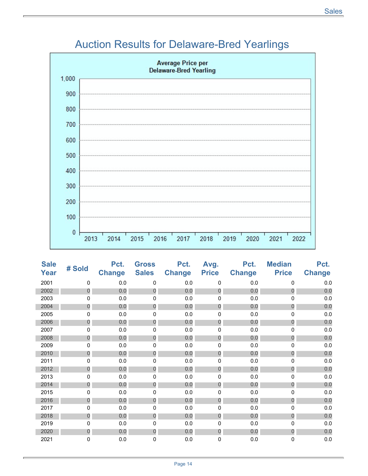### Auction Results for Delaware-Bred Yearlings



| <b>Sale</b><br>Year | # Sold           | Pct.<br><b>Change</b> | <b>Gross</b><br><b>Sales</b> | Pct.<br><b>Change</b> | Avg.<br><b>Price</b> | Pct.<br><b>Change</b> | <b>Median</b><br><b>Price</b> | Pct.<br><b>Change</b> |
|---------------------|------------------|-----------------------|------------------------------|-----------------------|----------------------|-----------------------|-------------------------------|-----------------------|
| 2001                | 0                | 0.0                   | 0                            | 0.0                   | 0                    | 0.0                   | $\mathbf{0}$                  | 0.0                   |
| 2002                | $\overline{0}$   | 0.0                   | $\overline{0}$               | 0.0                   | $\overline{0}$       | 0.0                   | $\Omega$                      | 0.0                   |
| 2003                | 0                | 0.0                   | 0                            | 0.0                   | 0                    | 0.0                   | 0                             | $0.0\,$               |
| 2004                | $\overline{0}$   | 0.0                   | $\mathbf{0}$                 | 0.0                   | $\overline{0}$       | 0.0                   | $\mathbf 0$                   | 0.0                   |
| 2005                | 0                | 0.0                   | 0                            | 0.0                   | 0                    | 0.0                   | 0                             | $0.0\,$               |
| 2006                | $\mathbf 0$      | 0.0                   | $\overline{0}$               | 0.0                   | $\mathbf 0$          | 0.0                   | $\overline{0}$                | 0.0                   |
| 2007                | 0                | 0.0                   | 0                            | 0.0                   | 0                    | 0.0                   | 0                             | $0.0\,$               |
| 2008                | $\mathbf 0$      | 0.0                   | $\mathbf 0$                  | 0.0                   | $\boldsymbol{0}$     | 0.0                   | $\overline{0}$                | 0.0                   |
| 2009                | 0                | 0.0                   | 0                            | 0.0                   | 0                    | 0.0                   | 0                             | 0.0                   |
| 2010                | 0                | 0.0                   | 0                            | 0.0                   | 0                    | 0.0                   | $\Omega$                      | 0.0                   |
| 2011                | 0                | 0.0                   | 0                            | 0.0                   | 0                    | 0.0                   | 0                             | 0.0                   |
| 2012                | $\boldsymbol{0}$ | 0.0                   | 0                            | 0.0                   | $\boldsymbol{0}$     | 0.0                   | $\overline{0}$                | 0.0                   |
| 2013                | 0                | 0.0                   | 0                            | 0.0                   | 0                    | 0.0                   | $\Omega$                      | 0.0                   |
| 2014                | $\theta$         | 0.0                   | $\boldsymbol{0}$             | 0.0                   | $\theta$             | 0.0                   | $\overline{0}$                | 0.0                   |
| 2015                | 0                | 0.0                   | 0                            | 0.0                   | 0                    | 0.0                   | 0                             | 0.0                   |
| 2016                | 0                | 0.0                   | 0                            | 0.0                   | 0                    | 0.0                   | $\overline{0}$                | 0.0                   |
| 2017                | 0                | 0.0                   | 0                            | 0.0                   | 0                    | $0.0\,$               | 0                             | $0.0\,$               |
| 2018                | 0                | 0.0                   | 0                            | 0.0                   | $\mathbf 0$          | 0.0                   | $\mathbf 0$                   | 0.0                   |
| 2019                | 0                | 0.0                   | 0                            | 0.0                   | 0                    | 0.0                   | 0                             | $0.0\,$               |
| 2020                | $\mathbf 0$      | 0.0                   | $\mathbf 0$                  | 0.0                   | $\overline{0}$       | 0.0                   | $\mathbf 0$                   | 0.0                   |
| 2021                | 0                | 0.0                   | 0                            | 0.0                   | 0                    | 0.0                   | $\mathbf 0$                   | 0.0                   |